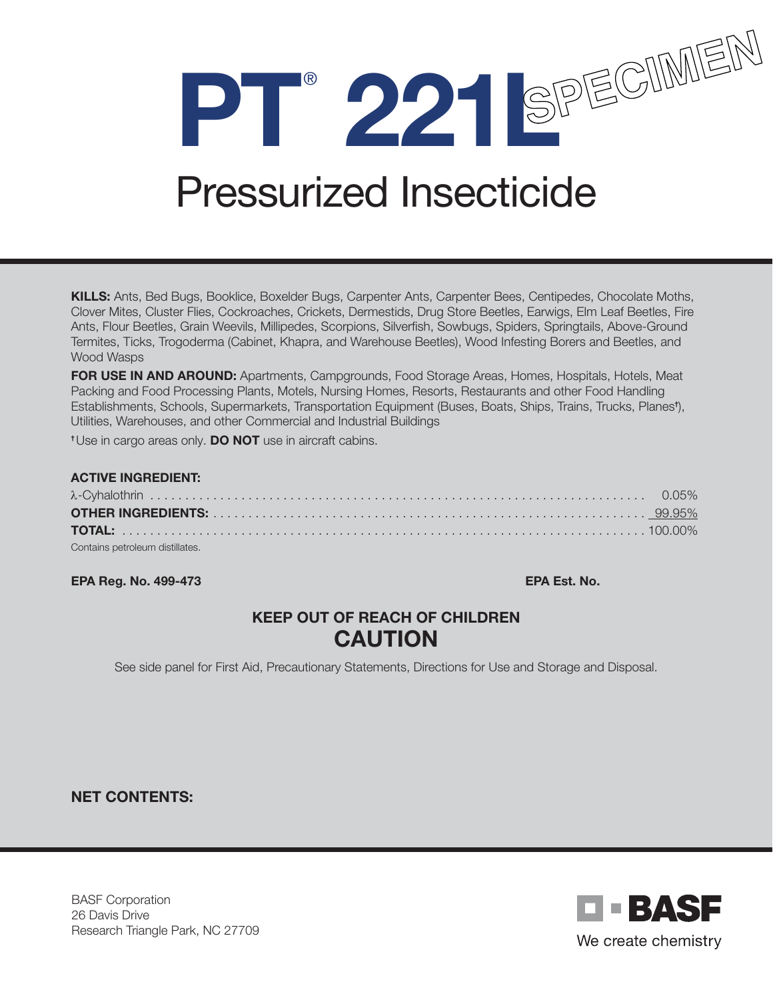

# Pressurized Insecticide

KILLS: Ants, Bed Bugs, Booklice, Boxelder Bugs, Carpenter Ants, Carpenter Bees, Centipedes, Chocolate Moths, Clover Mites, Cluster Flies, Cockroaches, Crickets, Dermestids, Drug Store Beetles, Earwigs, Elm Leaf Beetles, Fire Ants, Flour Beetles, Grain Weevils, Millipedes, Scorpions, Silverfish, Sowbugs, Spiders, Springtails, Above-Ground Termites, Ticks, Trogoderma (Cabinet, Khapra, and Warehouse Beetles), Wood Infesting Borers and Beetles, and Wood Wasps

FOR USE IN AND AROUND: Apartments, Campgrounds, Food Storage Areas, Homes, Hospitals, Hotels, Meat Packing and Food Processing Plants, Motels, Nursing Homes, Resorts, Restaurants and other Food Handling Establishments, Schools, Supermarkets, Transportation Equipment (Buses, Boats, Ships, Trains, Trucks, Planes† ), Utilities, Warehouses, and other Commercial and Industrial Buildings

<sup>†</sup> Use in cargo areas only. **DO NOT** use in aircraft cabins.

#### ACTIVE INGREDIENT: λ-Cyhalothrin . . . . . . . . . . . . . . . . . . . . . . . . . . . . . . . . . . . . . . . . . . . . . . . . . . . . . . . . . . . . . . . . . . . . . . . 0.05% OTHER INGREDIENTS: . . . . . . . . . . . . . . . . . . . . . . . . . . . . . . . . . . . . . . . . . . . . . . . . . . . . . . . . . . . . . . 99.95% TOTAL: . . . . . . . . . . . . . . . . . . . . . . . . . . . . . . . . . . . . . . . . . . . . . . . . . . . . . . . . . . . . . . . . . . . . . . . . . . . 100.00% Contains petroleum distillates.

#### EPA Reg. No. 499-473 EPA Est. No.

## KEEP OUT OF REACH OF CHILDREN CAUTION

See side panel for First Aid, Precautionary Statements, Directions for Use and Storage and Disposal.

#### NET CONTENTS:

BASF Corporation 26 Davis Drive Research Triangle Park, NC 27709

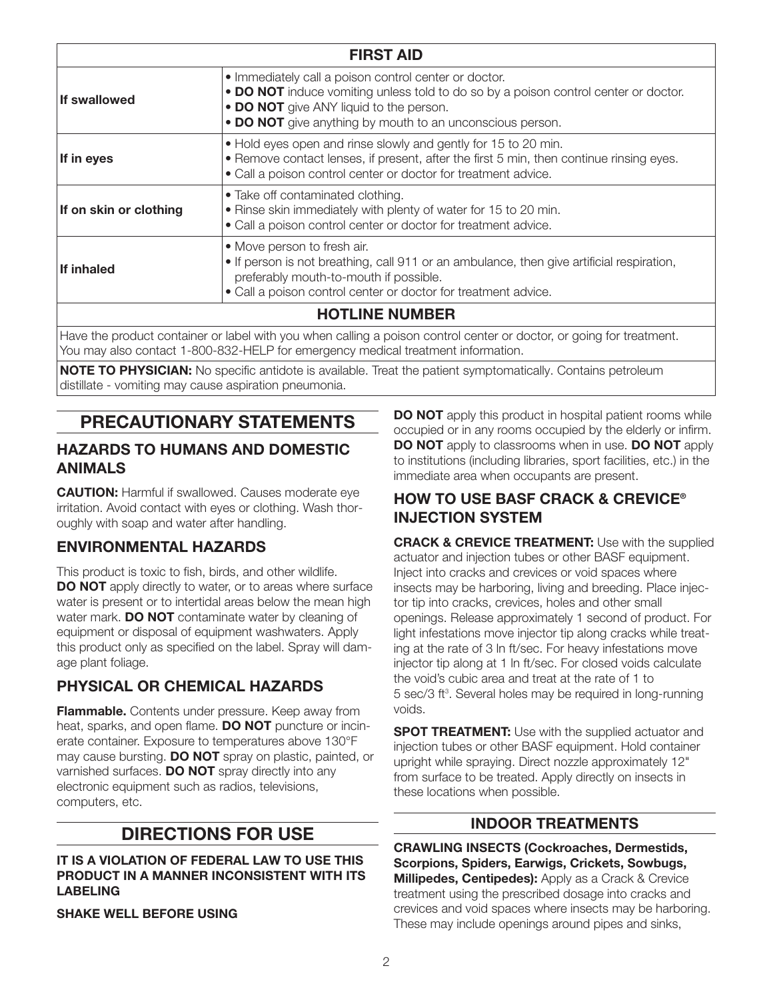| <b>FIRST AID</b>       |                                                                                                                                                                                                                                                      |
|------------------------|------------------------------------------------------------------------------------------------------------------------------------------------------------------------------------------------------------------------------------------------------|
| If swallowed           | • Immediately call a poison control center or doctor.<br>• DO NOT induce vomiting unless told to do so by a poison control center or doctor.<br>• DO NOT give ANY liquid to the person.<br>• DO NOT give anything by mouth to an unconscious person. |
| If in eyes             | • Hold eyes open and rinse slowly and gently for 15 to 20 min.<br>• Remove contact lenses, if present, after the first 5 min, then continue rinsing eyes.<br>· Call a poison control center or doctor for treatment advice.                          |
| If on skin or clothing | • Take off contaminated clothing.<br>• Rinse skin immediately with plenty of water for 15 to 20 min.<br>• Call a poison control center or doctor for treatment advice.                                                                               |
| If inhaled             | • Move person to fresh air.<br>• If person is not breathing, call 911 or an ambulance, then give artificial respiration,<br>preferably mouth-to-mouth if possible.<br>• Call a poison control center or doctor for treatment advice.                 |
|                        | <b>HOTLINE NUMBER</b>                                                                                                                                                                                                                                |
|                        | Have the product container or label with you when calling a poison control center or doctor, or going for treatment.<br>You may also contact 1-800-832-HELP for emergency medical treatment information.                                             |

NOTE TO PHYSICIAN: No specific antidote is available. Treat the patient symptomatically. Contains petroleum distillate - vomiting may cause aspiration pneumonia.

# PRECAUTIONARY STATEMENTS

#### HAZARDS TO HUMANS AND DOMESTIC ANIMALS

**CAUTION:** Harmful if swallowed. Causes moderate eye irritation. Avoid contact with eyes or clothing. Wash thoroughly with soap and water after handling.

## ENVIRONMENTAL HAZARDS

This product is toxic to fish, birds, and other wildlife. **DO NOT** apply directly to water, or to areas where surface water is present or to intertidal areas below the mean high water mark. **DO NOT** contaminate water by cleaning of equipment or disposal of equipment washwaters. Apply this product only as specified on the label. Spray will damage plant foliage.

## PHYSICAL OR CHEMICAL HAZARDS

**Flammable.** Contents under pressure. Keep away from heat, sparks, and open flame. **DO NOT** puncture or incinerate container. Exposure to temperatures above 130°F may cause bursting. **DO NOT** spray on plastic, painted, or varnished surfaces. DO NOT spray directly into any electronic equipment such as radios, televisions, computers, etc.

# DIRECTIONS FOR USE

#### IT IS A VIOLATION OF FEDERAL LAW TO USE THIS PRODUCT IN A MANNER INCONSISTENT WITH ITS LABELING

SHAKE WELL BEFORE USING

DO NOT apply this product in hospital patient rooms while occupied or in any rooms occupied by the elderly or infirm. DO NOT apply to classrooms when in use. DO NOT apply to institutions (including libraries, sport facilities, etc.) in the immediate area when occupants are present.

## HOW TO USE BASF CRACK & CREVICE® INJECTION SYSTEM

**CRACK & CREVICE TREATMENT:** Use with the supplied actuator and injection tubes or other BASF equipment. Inject into cracks and crevices or void spaces where insects may be harboring, living and breeding. Place injector tip into cracks, crevices, holes and other small openings. Release approximately 1 second of product. For light infestations move injector tip along cracks while treating at the rate of 3 ln ft/sec. For heavy infestations move injector tip along at 1 ln ft/sec. For closed voids calculate the void's cubic area and treat at the rate of 1 to 5 sec/3 ft<sup>3</sup>. Several holes may be required in long-running voids.

**SPOT TREATMENT:** Use with the supplied actuator and injection tubes or other BASF equipment. Hold container upright while spraying. Direct nozzle approximately 12" from surface to be treated. Apply directly on insects in these locations when possible.

## INDOOR TREATMENTS

CRAWLING INSECTS (Cockroaches, Dermestids, Scorpions, Spiders, Earwigs, Crickets, Sowbugs, **Millipedes, Centipedes):** Apply as a Crack & Crevice treatment using the prescribed dosage into cracks and crevices and void spaces where insects may be harboring. These may include openings around pipes and sinks,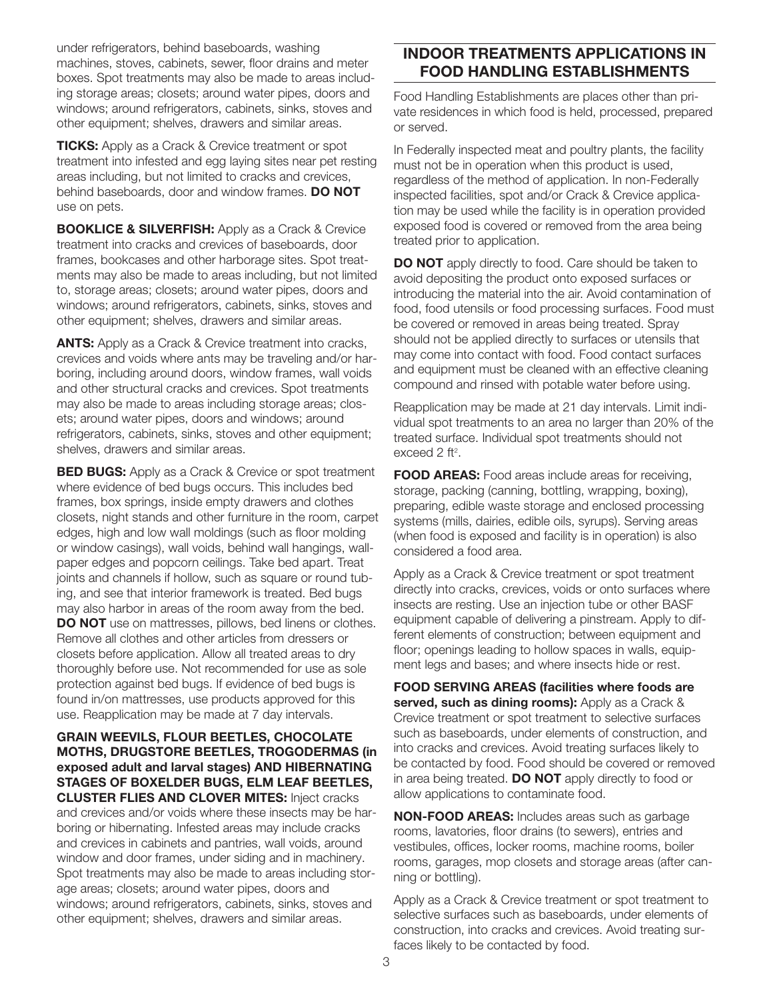under refrigerators, behind baseboards, washing machines, stoves, cabinets, sewer, floor drains and meter boxes. Spot treatments may also be made to areas including storage areas; closets; around water pipes, doors and windows; around refrigerators, cabinets, sinks, stoves and other equipment; shelves, drawers and similar areas.

**TICKS:** Apply as a Crack & Crevice treatment or spot treatment into infested and egg laying sites near pet resting areas including, but not limited to cracks and crevices, behind baseboards, door and window frames. DO NOT use on pets.

**BOOKLICE & SILVERFISH:** Apply as a Crack & Crevice treatment into cracks and crevices of baseboards, door frames, bookcases and other harborage sites. Spot treatments may also be made to areas including, but not limited to, storage areas; closets; around water pipes, doors and windows; around refrigerators, cabinets, sinks, stoves and other equipment; shelves, drawers and similar areas.

**ANTS:** Apply as a Crack & Crevice treatment into cracks, crevices and voids where ants may be traveling and/or harboring, including around doors, window frames, wall voids and other structural cracks and crevices. Spot treatments may also be made to areas including storage areas; closets; around water pipes, doors and windows; around refrigerators, cabinets, sinks, stoves and other equipment; shelves, drawers and similar areas.

**BED BUGS:** Apply as a Crack & Crevice or spot treatment where evidence of bed bugs occurs. This includes bed frames, box springs, inside empty drawers and clothes closets, night stands and other furniture in the room, carpet edges, high and low wall moldings (such as floor molding or window casings), wall voids, behind wall hangings, wallpaper edges and popcorn ceilings. Take bed apart. Treat joints and channels if hollow, such as square or round tubing, and see that interior framework is treated. Bed bugs may also harbor in areas of the room away from the bed. DO NOT use on mattresses, pillows, bed linens or clothes. Remove all clothes and other articles from dressers or closets before application. Allow all treated areas to dry thoroughly before use. Not recommended for use as sole protection against bed bugs. If evidence of bed bugs is found in/on mattresses, use products approved for this use. Reapplication may be made at 7 day intervals.

GRAIN WEEVILS, FLOUR BEETLES, CHOCOLATE MOTHS, DRUGSTORE BEETLES, TROGODERMAS (in exposed adult and larval stages) AND HIBERNATING STAGES OF BOXELDER BUGS, ELM LEAF BEETLES, CLUSTER FLIES AND CLOVER MITES: Inject cracks and crevices and/or voids where these insects may be harboring or hibernating. Infested areas may include cracks and crevices in cabinets and pantries, wall voids, around window and door frames, under siding and in machinery. Spot treatments may also be made to areas including storage areas; closets; around water pipes, doors and

windows; around refrigerators, cabinets, sinks, stoves and other equipment; shelves, drawers and similar areas.

## INDOOR TREATMENTS APPLICATIONS IN FOOD HANDLING ESTABLISHMENTS

Food Handling Establishments are places other than private residences in which food is held, processed, prepared or served.

In Federally inspected meat and poultry plants, the facility must not be in operation when this product is used, regardless of the method of application. In non-Federally inspected facilities, spot and/or Crack & Crevice application may be used while the facility is in operation provided exposed food is covered or removed from the area being treated prior to application.

DO NOT apply directly to food. Care should be taken to avoid depositing the product onto exposed surfaces or introducing the material into the air. Avoid contamination of food, food utensils or food processing surfaces. Food must be covered or removed in areas being treated. Spray should not be applied directly to surfaces or utensils that may come into contact with food. Food contact surfaces and equipment must be cleaned with an effective cleaning compound and rinsed with potable water before using.

Reapplication may be made at 21 day intervals. Limit individual spot treatments to an area no larger than 20% of the treated surface. Individual spot treatments should not exceed 2 ft<sup>2</sup>.

FOOD AREAS: Food areas include areas for receiving, storage, packing (canning, bottling, wrapping, boxing), preparing, edible waste storage and enclosed processing systems (mills, dairies, edible oils, syrups). Serving areas (when food is exposed and facility is in operation) is also considered a food area.

Apply as a Crack & Crevice treatment or spot treatment directly into cracks, crevices, voids or onto surfaces where insects are resting. Use an injection tube or other BASF equipment capable of delivering a pinstream. Apply to different elements of construction; between equipment and floor; openings leading to hollow spaces in walls, equipment legs and bases; and where insects hide or rest.

FOOD SERVING AREAS (facilities where foods are served, such as dining rooms): Apply as a Crack & Crevice treatment or spot treatment to selective surfaces such as baseboards, under elements of construction, and into cracks and crevices. Avoid treating surfaces likely to be contacted by food. Food should be covered or removed in area being treated. **DO NOT** apply directly to food or allow applications to contaminate food.

NON-FOOD AREAS: Includes areas such as garbage rooms, lavatories, floor drains (to sewers), entries and vestibules, offices, locker rooms, machine rooms, boiler rooms, garages, mop closets and storage areas (after canning or bottling).

Apply as a Crack & Crevice treatment or spot treatment to selective surfaces such as baseboards, under elements of construction, into cracks and crevices. Avoid treating surfaces likely to be contacted by food.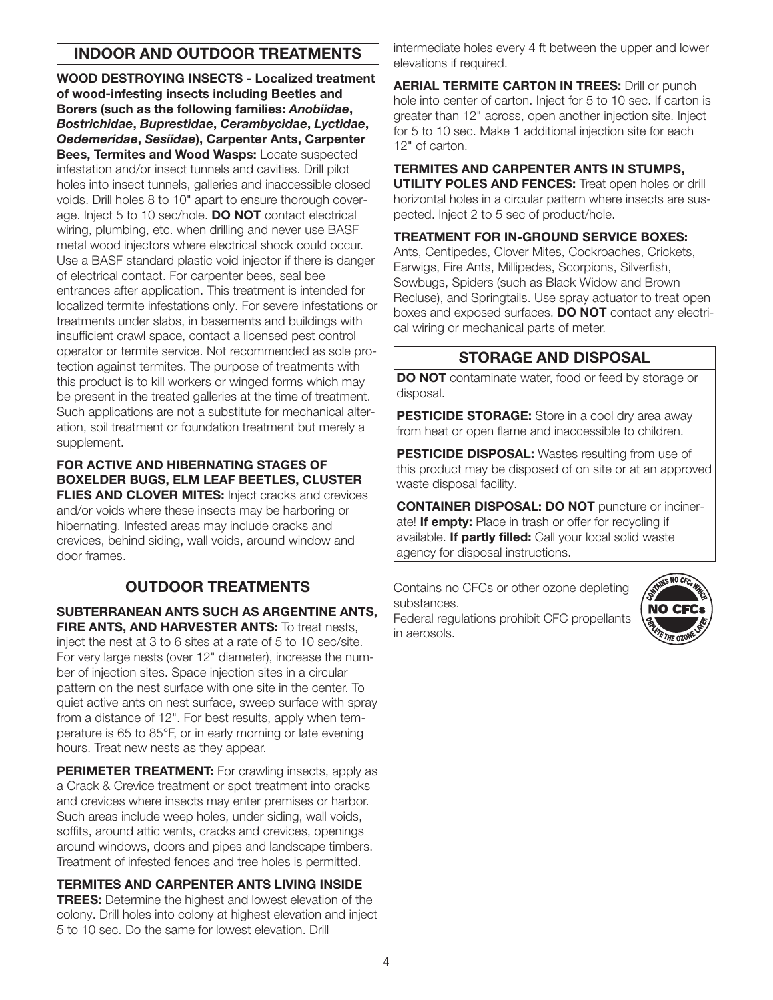### INDOOR AND OUTDOOR TREATMENTS

WOOD DESTROYING INSECTS - Localized treatment of wood-infesting insects including Beetles and Borers (such as the following families: *Anobiidae*, *Bostrichidae*, *Buprestidae*, *Cerambycidae*, *Lyctidae*, *Oedemeridae*, *Sesiidae*), Carpenter Ants, Carpenter Bees, Termites and Wood Wasps: Locate suspected infestation and/or insect tunnels and cavities. Drill pilot holes into insect tunnels, galleries and inaccessible closed voids. Drill holes 8 to 10" apart to ensure thorough coverage. Inject 5 to 10 sec/hole. DO NOT contact electrical wiring, plumbing, etc. when drilling and never use BASF metal wood injectors where electrical shock could occur. Use a BASF standard plastic void injector if there is danger of electrical contact. For carpenter bees, seal bee entrances after application. This treatment is intended for localized termite infestations only. For severe infestations or treatments under slabs, in basements and buildings with insufficient crawl space, contact a licensed pest control operator or termite service. Not recommended as sole protection against termites. The purpose of treatments with this product is to kill workers or winged forms which may be present in the treated galleries at the time of treatment. Such applications are not a substitute for mechanical alteration, soil treatment or foundation treatment but merely a supplement.

#### FOR ACTIVE AND HIBERNATING STAGES OF BOXELDER BUGS, ELM LEAF BEETLES, CLUSTER FLIES AND CLOVER MITES: Inject cracks and crevices

and/or voids where these insects may be harboring or hibernating. Infested areas may include cracks and crevices, behind siding, wall voids, around window and door frames.

## OUTDOOR TREATMENTS

SUBTERRANEAN ANTS SUCH AS ARGENTINE ANTS, **FIRE ANTS, AND HARVESTER ANTS:** To treat nests. inject the nest at 3 to 6 sites at a rate of 5 to 10 sec/site. For very large nests (over 12" diameter), increase the number of injection sites. Space injection sites in a circular pattern on the nest surface with one site in the center. To quiet active ants on nest surface, sweep surface with spray from a distance of 12". For best results, apply when temperature is 65 to 85°F, or in early morning or late evening hours. Treat new nests as they appear.

PERIMETER TREATMENT: For crawling insects, apply as a Crack & Crevice treatment or spot treatment into cracks and crevices where insects may enter premises or harbor. Such areas include weep holes, under siding, wall voids, soffits, around attic vents, cracks and crevices, openings around windows, doors and pipes and landscape timbers. Treatment of infested fences and tree holes is permitted.

#### TERMITES AND CARPENTER ANTS LIVING INSIDE

**TREES:** Determine the highest and lowest elevation of the colony. Drill holes into colony at highest elevation and inject 5 to 10 sec. Do the same for lowest elevation. Drill

intermediate holes every 4 ft between the upper and lower elevations if required.

**AERIAL TERMITE CARTON IN TREES: Drill or punch** hole into center of carton. Inject for 5 to 10 sec. If carton is greater than 12" across, open another injection site. Inject for 5 to 10 sec. Make 1 additional injection site for each 12" of carton.

#### TERMITES AND CARPENTER ANTS IN STUMPS,

**UTILITY POLES AND FENCES:** Treat open holes or drill horizontal holes in a circular pattern where insects are suspected. Inject 2 to 5 sec of product/hole.

#### TREATMENT FOR IN-GROUND SERVICE BOXES:

Ants, Centipedes, Clover Mites, Cockroaches, Crickets, Earwigs, Fire Ants, Millipedes, Scorpions, Silverfish, Sowbugs, Spiders (such as Black Widow and Brown Recluse), and Springtails. Use spray actuator to treat open boxes and exposed surfaces. **DO NOT** contact any electrical wiring or mechanical parts of meter.

### STORAGE AND DISPOSAL

DO NOT contaminate water, food or feed by storage or disposal.

PESTICIDE STORAGE: Store in a cool dry area away from heat or open flame and inaccessible to children.

**PESTICIDE DISPOSAL:** Wastes resulting from use of this product may be disposed of on site or at an approved waste disposal facility.

CONTAINER DISPOSAL: DO NOT puncture or incinerate! If empty: Place in trash or offer for recycling if available. If partly filled: Call your local solid waste agency for disposal instructions.

Contains no CFCs or other ozone depleting substances. Federal regulations prohibit CFC propellants in aerosols.